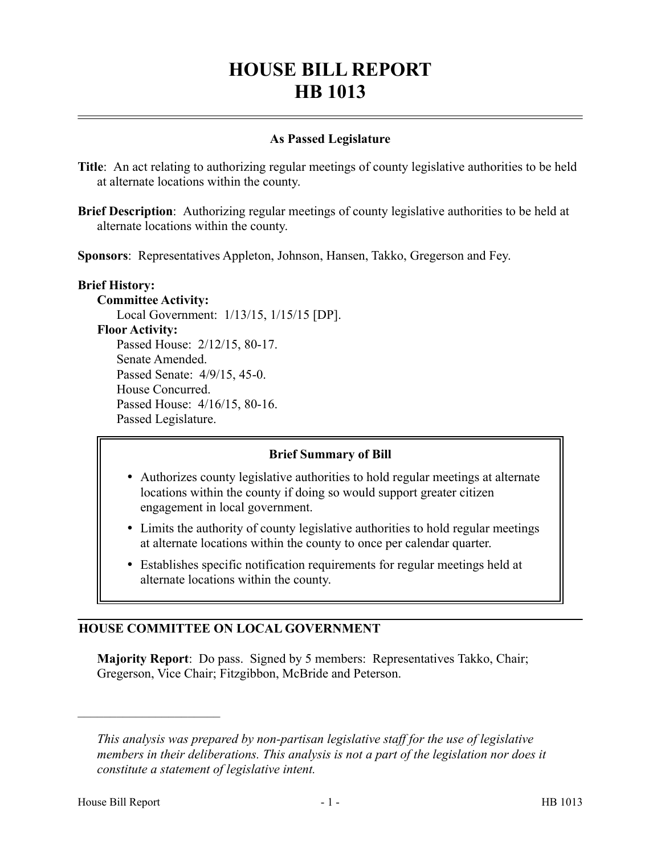# **HOUSE BILL REPORT HB 1013**

## **As Passed Legislature**

**Title**: An act relating to authorizing regular meetings of county legislative authorities to be held at alternate locations within the county.

**Brief Description**: Authorizing regular meetings of county legislative authorities to be held at alternate locations within the county.

**Sponsors**: Representatives Appleton, Johnson, Hansen, Takko, Gregerson and Fey.

#### **Brief History:**

**Committee Activity:** Local Government: 1/13/15, 1/15/15 [DP]. **Floor Activity:** Passed House: 2/12/15, 80-17. Senate Amended. Passed Senate: 4/9/15, 45-0. House Concurred. Passed House: 4/16/15, 80-16. Passed Legislature.

### **Brief Summary of Bill**

- Authorizes county legislative authorities to hold regular meetings at alternate locations within the county if doing so would support greater citizen engagement in local government.
- Limits the authority of county legislative authorities to hold regular meetings at alternate locations within the county to once per calendar quarter.
- Establishes specific notification requirements for regular meetings held at alternate locations within the county.

## **HOUSE COMMITTEE ON LOCAL GOVERNMENT**

**Majority Report**: Do pass. Signed by 5 members: Representatives Takko, Chair; Gregerson, Vice Chair; Fitzgibbon, McBride and Peterson.

––––––––––––––––––––––

*This analysis was prepared by non-partisan legislative staff for the use of legislative members in their deliberations. This analysis is not a part of the legislation nor does it constitute a statement of legislative intent.*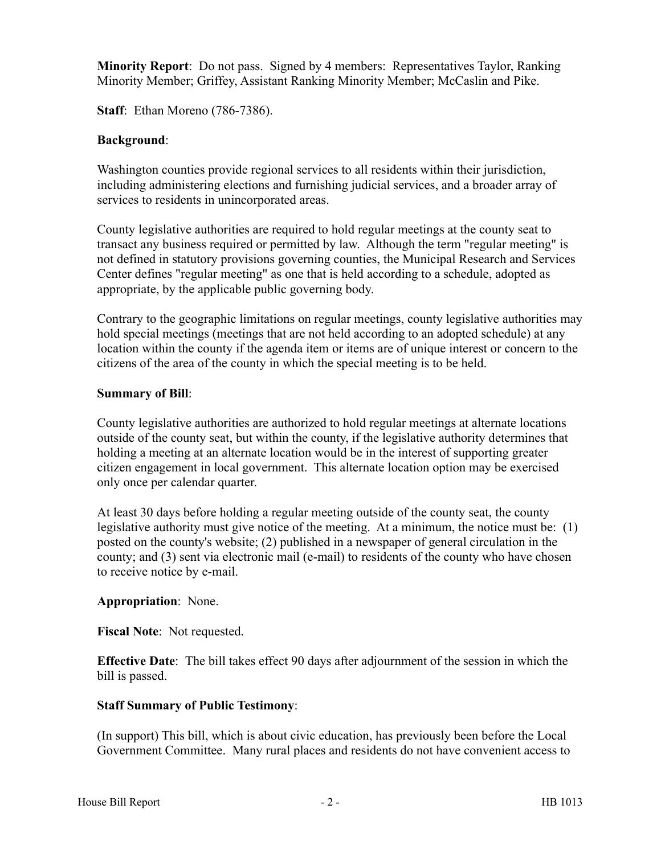**Minority Report**: Do not pass. Signed by 4 members: Representatives Taylor, Ranking Minority Member; Griffey, Assistant Ranking Minority Member; McCaslin and Pike.

**Staff**: Ethan Moreno (786-7386).

## **Background**:

Washington counties provide regional services to all residents within their jurisdiction, including administering elections and furnishing judicial services, and a broader array of services to residents in unincorporated areas.

County legislative authorities are required to hold regular meetings at the county seat to transact any business required or permitted by law. Although the term "regular meeting" is not defined in statutory provisions governing counties, the Municipal Research and Services Center defines "regular meeting" as one that is held according to a schedule, adopted as appropriate, by the applicable public governing body.

Contrary to the geographic limitations on regular meetings, county legislative authorities may hold special meetings (meetings that are not held according to an adopted schedule) at any location within the county if the agenda item or items are of unique interest or concern to the citizens of the area of the county in which the special meeting is to be held.

### **Summary of Bill**:

County legislative authorities are authorized to hold regular meetings at alternate locations outside of the county seat, but within the county, if the legislative authority determines that holding a meeting at an alternate location would be in the interest of supporting greater citizen engagement in local government. This alternate location option may be exercised only once per calendar quarter.

At least 30 days before holding a regular meeting outside of the county seat, the county legislative authority must give notice of the meeting. At a minimum, the notice must be: (1) posted on the county's website; (2) published in a newspaper of general circulation in the county; and (3) sent via electronic mail (e-mail) to residents of the county who have chosen to receive notice by e-mail.

### **Appropriation**: None.

**Fiscal Note**: Not requested.

**Effective Date**: The bill takes effect 90 days after adjournment of the session in which the bill is passed.

## **Staff Summary of Public Testimony**:

(In support) This bill, which is about civic education, has previously been before the Local Government Committee. Many rural places and residents do not have convenient access to